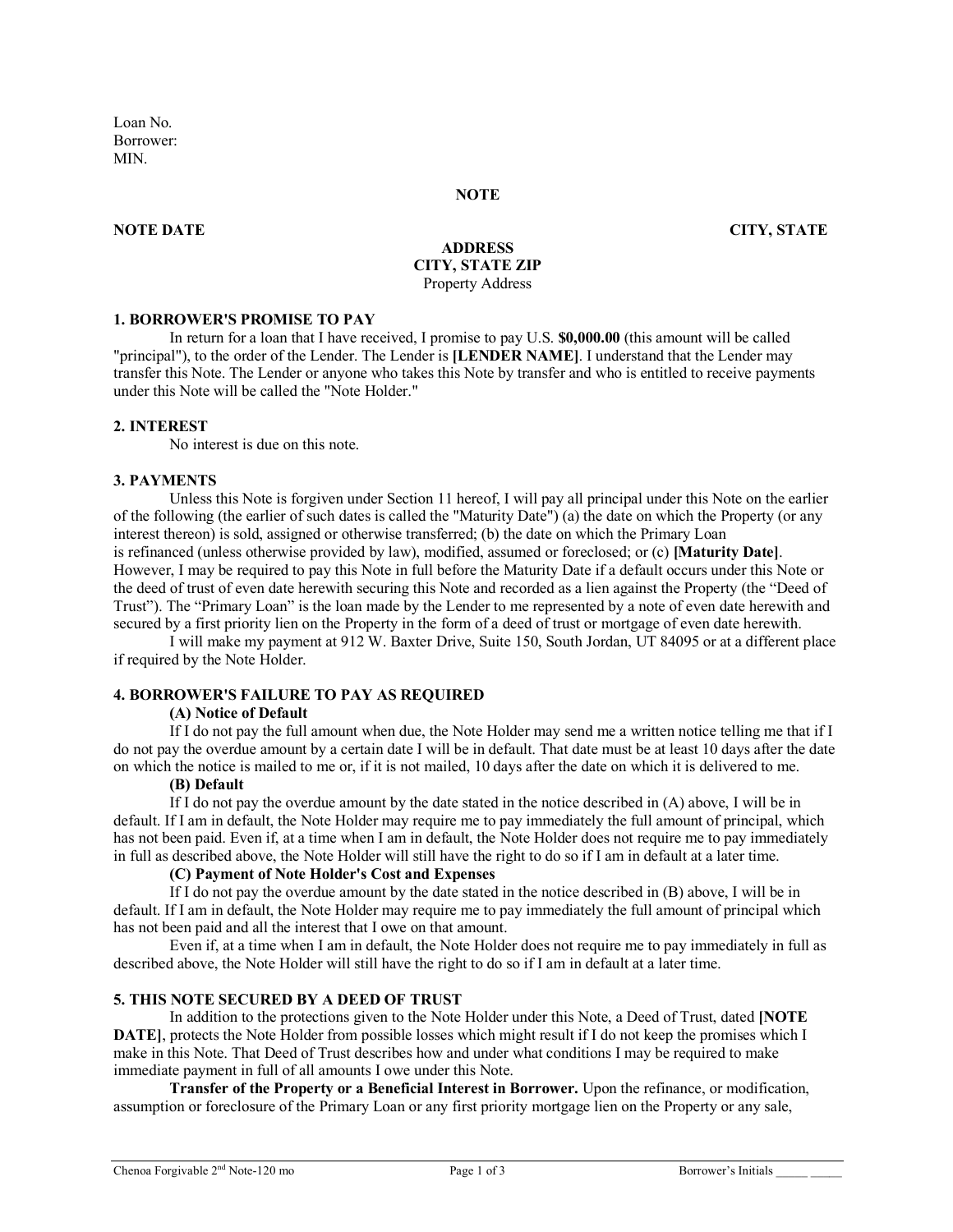Loan No. Borrower: **MIN** 

#### **NOTE**

### **NOTE DATE CITY, STATE**

### **ADDRESS CITY, STATE ZIP** Property Address

#### **1. BORROWER'S PROMISE TO PAY**

In return for a loan that I have received, I promise to pay U.S. **\$0,000.00** (this amount will be called "principal"), to the order of the Lender. The Lender is **[LENDER NAME]**. I understand that the Lender may transfer this Note. The Lender or anyone who takes this Note by transfer and who is entitled to receive payments under this Note will be called the "Note Holder."

### **2. INTEREST**

No interest is due on this note.

### **3. PAYMENTS**

Unless this Note is forgiven under Section 11 hereof, I will pay all principal under this Note on the earlier of the following (the earlier of such dates is called the "Maturity Date") (a) the date on which the Property (or any interest thereon) is sold, assigned or otherwise transferred; (b) the date on which the Primary Loan is refinanced (unless otherwise provided by law), modified, assumed or foreclosed; or (c) **[Maturity Date]**. However, I may be required to pay this Note in full before the Maturity Date if a default occurs under this Note or the deed of trust of even date herewith securing this Note and recorded as a lien against the Property (the "Deed of Trust"). The "Primary Loan" is the loan made by the Lender to me represented by a note of even date herewith and secured by a first priority lien on the Property in the form of a deed of trust or mortgage of even date herewith.

I will make my payment at 912 W. Baxter Drive, Suite 150, South Jordan, UT 84095 or at a different place if required by the Note Holder.

## **4. BORROWER'S FAILURE TO PAY AS REQUIRED**

## **(A) Notice of Default**

If I do not pay the full amount when due, the Note Holder may send me a written notice telling me that if I do not pay the overdue amount by a certain date I will be in default. That date must be at least 10 days after the date on which the notice is mailed to me or, if it is not mailed, 10 days after the date on which it is delivered to me.

# **(B) Default**

If I do not pay the overdue amount by the date stated in the notice described in (A) above, I will be in default. If I am in default, the Note Holder may require me to pay immediately the full amount of principal, which has not been paid. Even if, at a time when I am in default, the Note Holder does not require me to pay immediately in full as described above, the Note Holder will still have the right to do so if I am in default at a later time.

# **(C) Payment of Note Holder's Cost and Expenses**

If I do not pay the overdue amount by the date stated in the notice described in (B) above, I will be in default. If I am in default, the Note Holder may require me to pay immediately the full amount of principal which has not been paid and all the interest that I owe on that amount.

Even if, at a time when I am in default, the Note Holder does not require me to pay immediately in full as described above, the Note Holder will still have the right to do so if I am in default at a later time.

### **5. THIS NOTE SECURED BY A DEED OF TRUST**

In addition to the protections given to the Note Holder under this Note, a Deed of Trust, dated **[NOTE DATE**], protects the Note Holder from possible losses which might result if I do not keep the promises which I make in this Note. That Deed of Trust describes how and under what conditions I may be required to make immediate payment in full of all amounts I owe under this Note.

**Transfer of the Property or a Beneficial Interest in Borrower.** Upon the refinance, or modification, assumption or foreclosure of the Primary Loan or any first priority mortgage lien on the Property or any sale,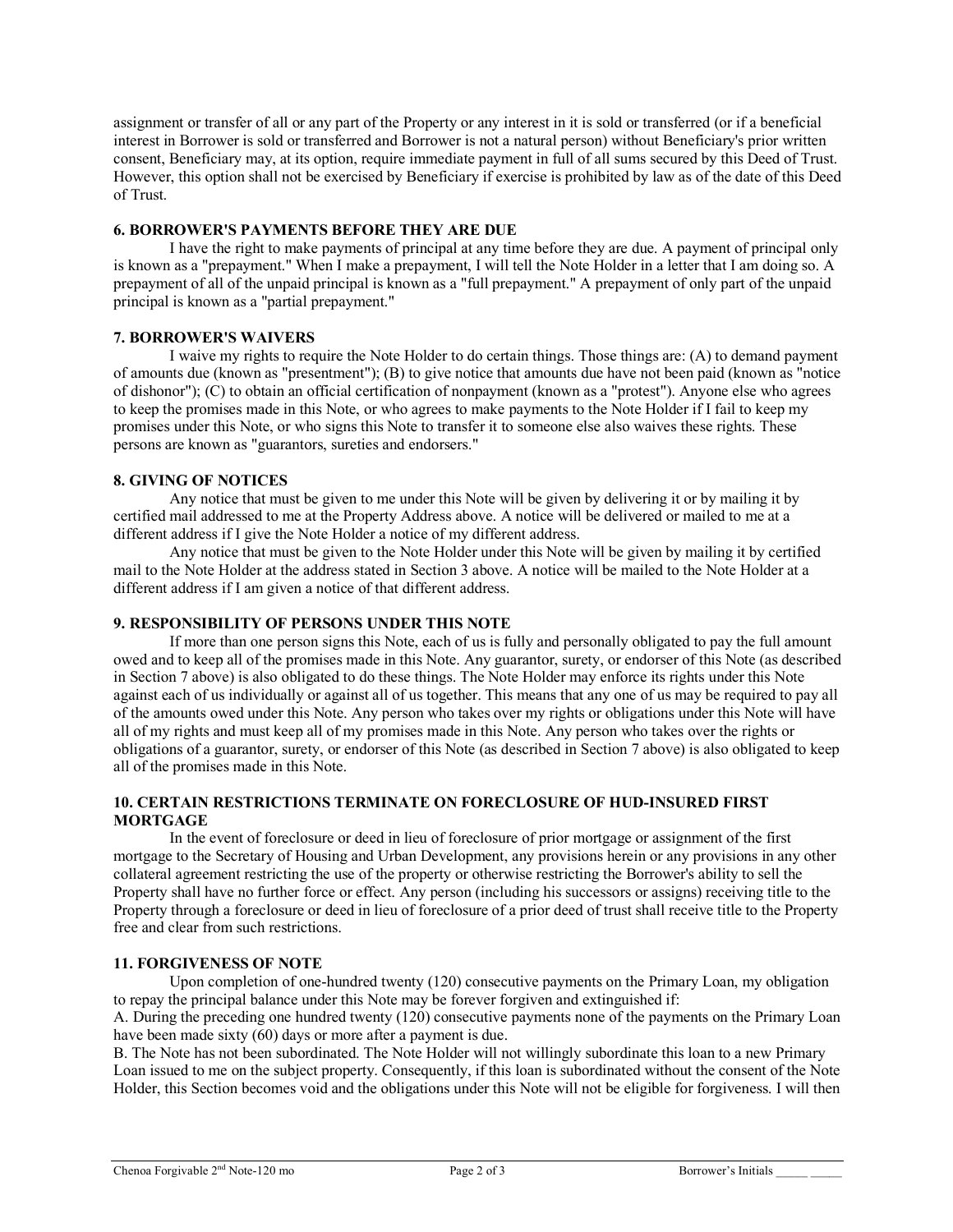assignment or transfer of all or any part of the Property or any interest in it is sold or transferred (or if a beneficial interest in Borrower is sold or transferred and Borrower is not a natural person) without Beneficiary's prior written consent, Beneficiary may, at its option, require immediate payment in full of all sums secured by this Deed of Trust. However, this option shall not be exercised by Beneficiary if exercise is prohibited by law as of the date of this Deed of Trust.

## **6. BORROWER'S PAYMENTS BEFORE THEY ARE DUE**

I have the right to make payments of principal at any time before they are due. A payment of principal only is known as a "prepayment." When I make a prepayment, I will tell the Note Holder in a letter that I am doing so. A prepayment of all of the unpaid principal is known as a "full prepayment." A prepayment of only part of the unpaid principal is known as a "partial prepayment."

# **7. BORROWER'S WAIVERS**

I waive my rights to require the Note Holder to do certain things. Those things are: (A) to demand payment of amounts due (known as "presentment"); (B) to give notice that amounts due have not been paid (known as "notice of dishonor"); (C) to obtain an official certification of nonpayment (known as a "protest"). Anyone else who agrees to keep the promises made in this Note, or who agrees to make payments to the Note Holder if I fail to keep my promises under this Note, or who signs this Note to transfer it to someone else also waives these rights. These persons are known as "guarantors, sureties and endorsers."

# **8. GIVING OF NOTICES**

Any notice that must be given to me under this Note will be given by delivering it or by mailing it by certified mail addressed to me at the Property Address above. A notice will be delivered or mailed to me at a different address if I give the Note Holder a notice of my different address.

Any notice that must be given to the Note Holder under this Note will be given by mailing it by certified mail to the Note Holder at the address stated in Section 3 above. A notice will be mailed to the Note Holder at a different address if I am given a notice of that different address.

## **9. RESPONSIBILITY OF PERSONS UNDER THIS NOTE**

If more than one person signs this Note, each of us is fully and personally obligated to pay the full amount owed and to keep all of the promises made in this Note. Any guarantor, surety, or endorser of this Note (as described in Section 7 above) is also obligated to do these things. The Note Holder may enforce its rights under this Note against each of us individually or against all of us together. This means that any one of us may be required to pay all of the amounts owed under this Note. Any person who takes over my rights or obligations under this Note will have all of my rights and must keep all of my promises made in this Note. Any person who takes over the rights or obligations of a guarantor, surety, or endorser of this Note (as described in Section 7 above) is also obligated to keep all of the promises made in this Note.

## **10. CERTAIN RESTRICTIONS TERMINATE ON FORECLOSURE OF HUD-INSURED FIRST MORTGAGE**

In the event of foreclosure or deed in lieu of foreclosure of prior mortgage or assignment of the first mortgage to the Secretary of Housing and Urban Development, any provisions herein or any provisions in any other collateral agreement restricting the use of the property or otherwise restricting the Borrower's ability to sell the Property shall have no further force or effect. Any person (including his successors or assigns) receiving title to the Property through a foreclosure or deed in lieu of foreclosure of a prior deed of trust shall receive title to the Property free and clear from such restrictions.

## **11. FORGIVENESS OF NOTE**

Upon completion of one-hundred twenty (120) consecutive payments on the Primary Loan, my obligation to repay the principal balance under this Note may be forever forgiven and extinguished if:

A. During the preceding one hundred twenty (120) consecutive payments none of the payments on the Primary Loan have been made sixty (60) days or more after a payment is due.

B. The Note has not been subordinated. The Note Holder will not willingly subordinate this loan to a new Primary Loan issued to me on the subject property. Consequently, if this loan is subordinated without the consent of the Note Holder, this Section becomes void and the obligations under this Note will not be eligible for forgiveness. I will then